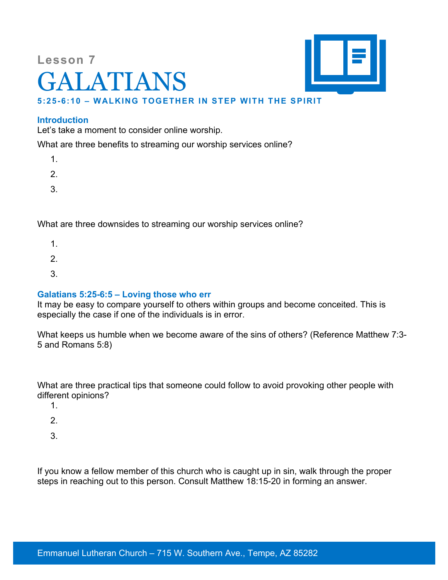# **Lesson 7** GALATIANS



# **5:25-6:10 – WALKING TOGETHER IN STEP WITH THE SPIRIT**

## **Introduction**

Let's take a moment to consider online worship.

What are three benefits to streaming our worship services online?

- 1.
- 2.
- 3.

What are three downsides to streaming our worship services online?

- 1.
- 2.
- 
- 3.

## **Galatians 5:25-6:5 – Loving those who err**

It may be easy to compare yourself to others within groups and become conceited. This is especially the case if one of the individuals is in error.

What keeps us humble when we become aware of the sins of others? (Reference Matthew 7:3- 5 and Romans 5:8)

What are three practical tips that someone could follow to avoid provoking other people with different opinions?

- 1.
- 2.
- 
- 3.

If you know a fellow member of this church who is caught up in sin, walk through the proper steps in reaching out to this person. Consult Matthew 18:15-20 in forming an answer.